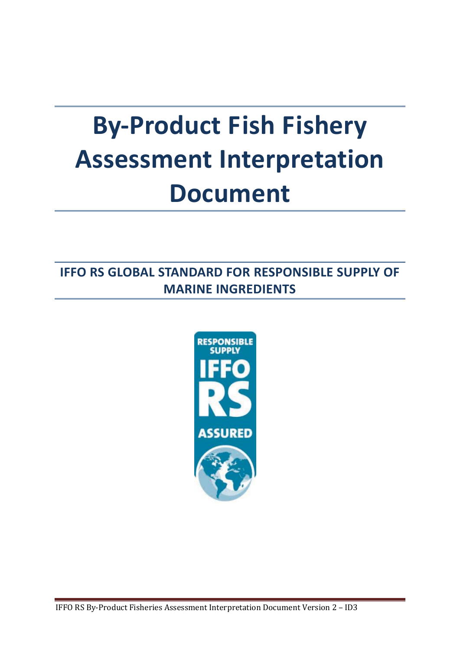# **By-Product Fish Fishery Assessment Interpretation Document**

**IFFO RS GLOBAL STANDARD FOR RESPONSIBLE SUPPLY OF MARINE INGREDIENTS**

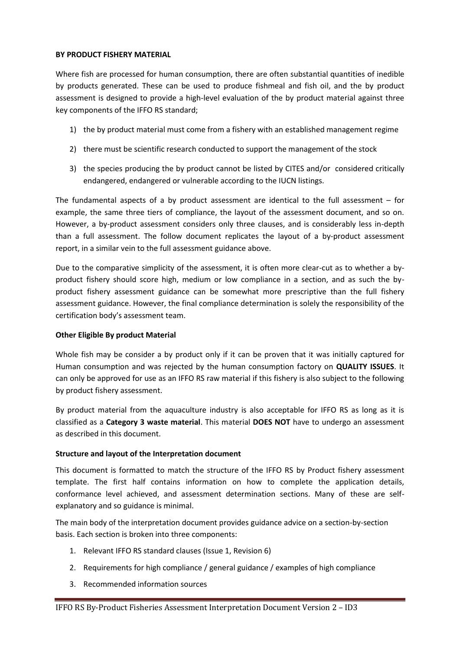# **BY PRODUCT FISHERY MATERIAL**

Where fish are processed for human consumption, there are often substantial quantities of inedible by products generated. These can be used to produce fishmeal and fish oil, and the by product assessment is designed to provide a high-level evaluation of the by product material against three key components of the IFFO RS standard;

- 1) the by product material must come from a fishery with an established management regime
- 2) there must be scientific research conducted to support the management of the stock
- 3) the species producing the by product cannot be listed by CITES and/or considered critically endangered, endangered or vulnerable according to the IUCN listings.

The fundamental aspects of a by product assessment are identical to the full assessment – for example, the same three tiers of compliance, the layout of the assessment document, and so on. However, a by-product assessment considers only three clauses, and is considerably less in-depth than a full assessment. The follow document replicates the layout of a by-product assessment report, in a similar vein to the full assessment guidance above.

Due to the comparative simplicity of the assessment, it is often more clear-cut as to whether a byproduct fishery should score high, medium or low compliance in a section, and as such the byproduct fishery assessment guidance can be somewhat more prescriptive than the full fishery assessment guidance. However, the final compliance determination is solely the responsibility of the certification body's assessment team.

#### **Other Eligible By product Material**

Whole fish may be consider a by product only if it can be proven that it was initially captured for Human consumption and was rejected by the human consumption factory on **QUALITY ISSUES**. It can only be approved for use as an IFFO RS raw material if this fishery is also subject to the following by product fishery assessment.

By product material from the aquaculture industry is also acceptable for IFFO RS as long as it is classified as a **Category 3 waste material**. This material **DOES NOT** have to undergo an assessment as described in this document.

# **Structure and layout of the Interpretation document**

This document is formatted to match the structure of the IFFO RS by Product fishery assessment template. The first half contains information on how to complete the application details, conformance level achieved, and assessment determination sections. Many of these are selfexplanatory and so guidance is minimal.

The main body of the interpretation document provides guidance advice on a section-by-section basis. Each section is broken into three components:

- 1. Relevant IFFO RS standard clauses (Issue 1, Revision 6)
- 2. Requirements for high compliance / general guidance / examples of high compliance
- 3. Recommended information sources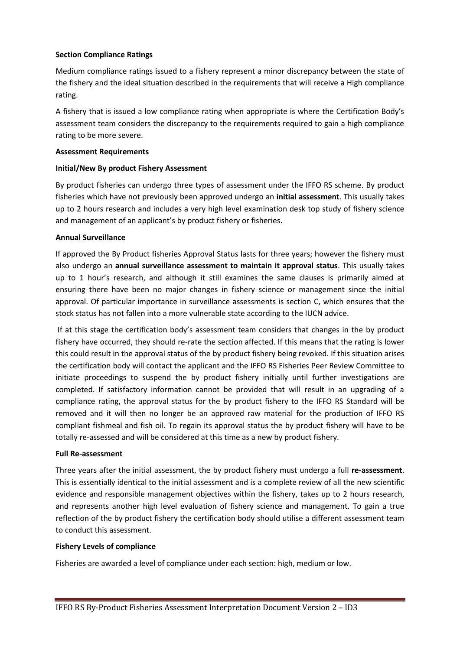## **Section Compliance Ratings**

Medium compliance ratings issued to a fishery represent a minor discrepancy between the state of the fishery and the ideal situation described in the requirements that will receive a High compliance rating.

A fishery that is issued a low compliance rating when appropriate is where the Certification Body's assessment team considers the discrepancy to the requirements required to gain a high compliance rating to be more severe.

#### **Assessment Requirements**

## **Initial/New By product Fishery Assessment**

By product fisheries can undergo three types of assessment under the IFFO RS scheme. By product fisheries which have not previously been approved undergo an **initial assessment**. This usually takes up to 2 hours research and includes a very high level examination desk top study of fishery science and management of an applicant's by product fishery or fisheries.

## **Annual Surveillance**

If approved the By Product fisheries Approval Status lasts for three years; however the fishery must also undergo an **annual surveillance assessment to maintain it approval status**. This usually takes up to 1 hour's research, and although it still examines the same clauses is primarily aimed at ensuring there have been no major changes in fishery science or management since the initial approval. Of particular importance in surveillance assessments is section C, which ensures that the stock status has not fallen into a more vulnerable state according to the IUCN advice.

If at this stage the certification body's assessment team considers that changes in the by product fishery have occurred, they should re-rate the section affected. If this means that the rating is lower this could result in the approval status of the by product fishery being revoked. If this situation arises the certification body will contact the applicant and the IFFO RS Fisheries Peer Review Committee to initiate proceedings to suspend the by product fishery initially until further investigations are completed. If satisfactory information cannot be provided that will result in an upgrading of a compliance rating, the approval status for the by product fishery to the IFFO RS Standard will be removed and it will then no longer be an approved raw material for the production of IFFO RS compliant fishmeal and fish oil. To regain its approval status the by product fishery will have to be totally re-assessed and will be considered at this time as a new by product fishery.

#### **Full Re-assessment**

Three years after the initial assessment, the by product fishery must undergo a full **re-assessment**. This is essentially identical to the initial assessment and is a complete review of all the new scientific evidence and responsible management objectives within the fishery, takes up to 2 hours research, and represents another high level evaluation of fishery science and management. To gain a true reflection of the by product fishery the certification body should utilise a different assessment team to conduct this assessment.

#### **Fishery Levels of compliance**

Fisheries are awarded a level of compliance under each section: high, medium or low.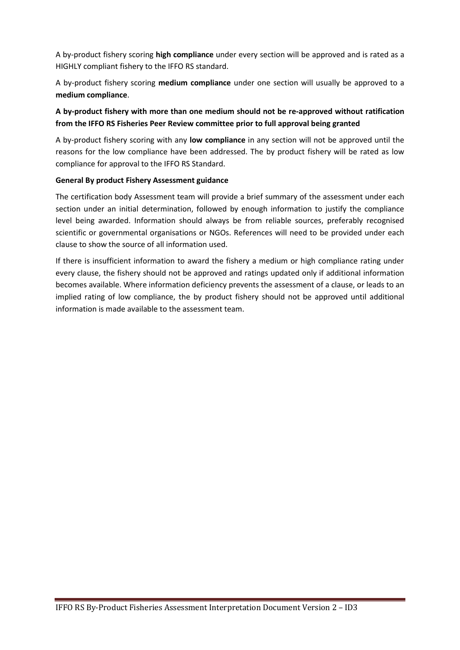A by-product fishery scoring **high compliance** under every section will be approved and is rated as a HIGHLY compliant fishery to the IFFO RS standard.

A by-product fishery scoring **medium compliance** under one section will usually be approved to a **medium compliance**.

# **A by-product fishery with more than one medium should not be re-approved without ratification from the IFFO RS Fisheries Peer Review committee prior to full approval being granted**

A by-product fishery scoring with any **low compliance** in any section will not be approved until the reasons for the low compliance have been addressed. The by product fishery will be rated as low compliance for approval to the IFFO RS Standard.

# **General By product Fishery Assessment guidance**

The certification body Assessment team will provide a brief summary of the assessment under each section under an initial determination, followed by enough information to justify the compliance level being awarded. Information should always be from reliable sources, preferably recognised scientific or governmental organisations or NGOs. References will need to be provided under each clause to show the source of all information used.

If there is insufficient information to award the fishery a medium or high compliance rating under every clause, the fishery should not be approved and ratings updated only if additional information becomes available. Where information deficiency prevents the assessment of a clause, or leads to an implied rating of low compliance, the by product fishery should not be approved until additional information is made available to the assessment team.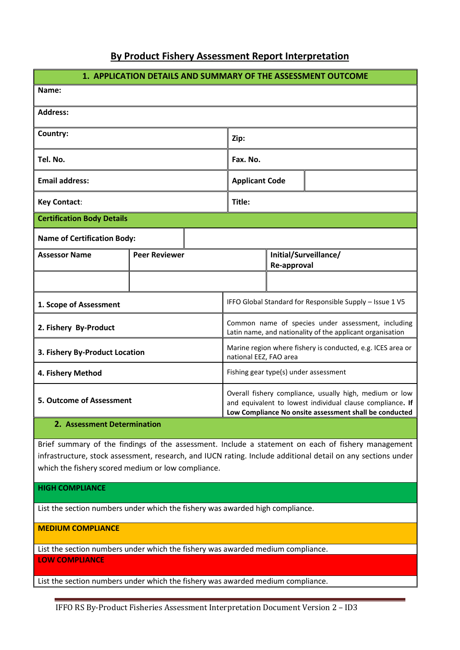# **By Product Fishery Assessment Report Interpretation**

| 1. APPLICATION DETAILS AND SUMMARY OF THE ASSESSMENT OUTCOME |                      |  |                                                                                                                                                                                |                                      |  |
|--------------------------------------------------------------|----------------------|--|--------------------------------------------------------------------------------------------------------------------------------------------------------------------------------|--------------------------------------|--|
| Name:                                                        |                      |  |                                                                                                                                                                                |                                      |  |
| <b>Address:</b>                                              |                      |  |                                                                                                                                                                                |                                      |  |
| Country:                                                     |                      |  | Zip:                                                                                                                                                                           |                                      |  |
| Tel. No.                                                     |                      |  | Fax. No.                                                                                                                                                                       |                                      |  |
| <b>Email address:</b>                                        |                      |  | <b>Applicant Code</b>                                                                                                                                                          |                                      |  |
| <b>Key Contact:</b>                                          |                      |  | Title:                                                                                                                                                                         |                                      |  |
| <b>Certification Body Details</b>                            |                      |  |                                                                                                                                                                                |                                      |  |
| <b>Name of Certification Body:</b>                           |                      |  |                                                                                                                                                                                |                                      |  |
| <b>Assessor Name</b>                                         | <b>Peer Reviewer</b> |  |                                                                                                                                                                                | Initial/Surveillance/<br>Re-approval |  |
|                                                              |                      |  |                                                                                                                                                                                |                                      |  |
| 1. Scope of Assessment                                       |                      |  | IFFO Global Standard for Responsible Supply - Issue 1 V5                                                                                                                       |                                      |  |
| 2. Fishery By-Product                                        |                      |  | Common name of species under assessment, including<br>Latin name, and nationality of the applicant organisation                                                                |                                      |  |
| 3. Fishery By-Product Location                               |                      |  | Marine region where fishery is conducted, e.g. ICES area or<br>national EEZ, FAO area                                                                                          |                                      |  |
| 4. Fishery Method                                            |                      |  | Fishing gear type(s) under assessment                                                                                                                                          |                                      |  |
| <b>5. Outcome of Assessment</b>                              |                      |  | Overall fishery compliance, usually high, medium or low<br>and equivalent to lowest individual clause compliance. If<br>Low Compliance No onsite assessment shall be conducted |                                      |  |
| 2. Assessment Determination                                  |                      |  |                                                                                                                                                                                |                                      |  |

Brief summary of the findings of the assessment. Include a statement on each of fishery management infrastructure, stock assessment, research, and IUCN rating. Include additional detail on any sections under which the fishery scored medium or low compliance.

**HIGH COMPLIANCE**

List the section numbers under which the fishery was awarded high compliance.

**MEDIUM COMPLIANCE**

List the section numbers under which the fishery was awarded medium compliance. **LOW COMPLIANCE**

List the section numbers under which the fishery was awarded medium compliance.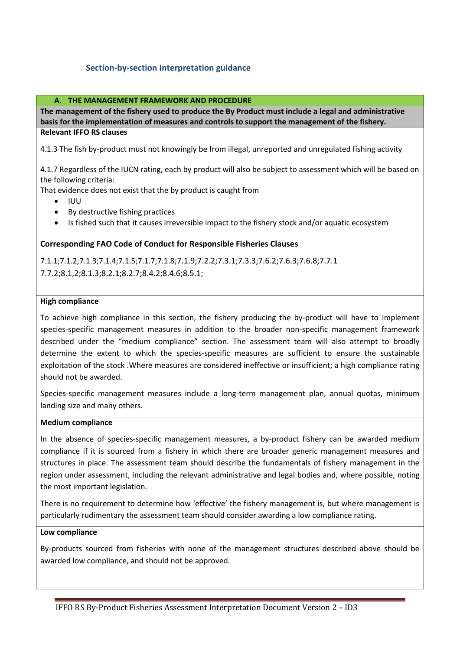# **Section-by-section Interpretation guidance**

#### **A. THE MANAGEMENT FRAMEWORK AND PROCEDURE**

**The management of the fishery used to produce the By Product must include a legal and administrative basis for the implementation of measures and controls to support the management of the fishery. Relevant IFFO RS clauses**

4.1.3 The fish by-product must not knowingly be from illegal, unreported and unregulated fishing activity

4.1.7 Regardless of the IUCN rating, each by product will also be subject to assessment which will be based on the following criteria:

That evidence does not exist that the by product is caught from

- $\bullet$  IUU
- By destructive fishing practices
- Is fished such that it causes irreversible impact to the fishery stock and/or aquatic ecosystem

## **Corresponding FAO Code of Conduct for Responsible Fisheries Clauses**

7.1.1;7.1.2;7.1.3;7.1.4;7.1.5;7.1.7;7.1.8;7.1.9;7.2.2;7.3.1;7.3.3;7.6.2;7.6.3;7.6.8;7.7.1 7.7.2;8.1,2;8.1.3;8.2.1;8.2.7;8.4.2;8.4.6;8.5.1;

#### **High compliance**

To achieve high compliance in this section, the fishery producing the by-product will have to implement species-specific management measures in addition to the broader non-specific management framework described under the "medium compliance" section. The assessment team will also attempt to broadly determine the extent to which the species-specific measures are sufficient to ensure the sustainable exploitation of the stock .Where measures are considered ineffective or insufficient; a high compliance rating should not be awarded.

Species-specific management measures include a long-term management plan, annual quotas, minimum landing size and many others.

#### **Medium compliance**

In the absence of species-specific management measures, a by-product fishery can be awarded medium compliance if it is sourced from a fishery in which there are broader generic management measures and structures in place. The assessment team should describe the fundamentals of fishery management in the region under assessment, including the relevant administrative and legal bodies and, where possible, noting the most important legislation.

There is no requirement to determine how 'effective' the fishery management is, but where management is particularly rudimentary the assessment team should consider awarding a low compliance rating.

#### **Low compliance**

By-products sourced from fisheries with none of the management structures described above should be awarded low compliance, and should not be approved.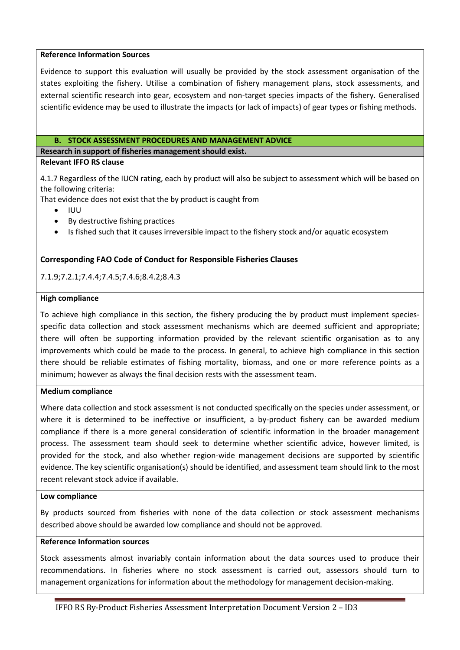#### **Reference Information Sources**

Evidence to support this evaluation will usually be provided by the stock assessment organisation of the states exploiting the fishery. Utilise a combination of fishery management plans, stock assessments, and external scientific research into gear, ecosystem and non-target species impacts of the fishery. Generalised scientific evidence may be used to illustrate the impacts (or lack of impacts) of gear types or fishing methods.

#### **B. STOCK ASSESSMENT PROCEDURES AND MANAGEMENT ADVICE**

**Research in support of fisheries management should exist.**

#### **Relevant IFFO RS clause**

4.1.7 Regardless of the IUCN rating, each by product will also be subject to assessment which will be based on the following criteria:

That evidence does not exist that the by product is caught from

- IUU
- By destructive fishing practices
- Is fished such that it causes irreversible impact to the fishery stock and/or aquatic ecosystem

## **Corresponding FAO Code of Conduct for Responsible Fisheries Clauses**

7.1.9;7.2.1;7.4.4;7.4.5;7.4.6;8.4.2;8.4.3

#### **High compliance**

To achieve high compliance in this section, the fishery producing the by product must implement speciesspecific data collection and stock assessment mechanisms which are deemed sufficient and appropriate; there will often be supporting information provided by the relevant scientific organisation as to any improvements which could be made to the process. In general, to achieve high compliance in this section there should be reliable estimates of fishing mortality, biomass, and one or more reference points as a minimum; however as always the final decision rests with the assessment team.

#### **Medium compliance**

Where data collection and stock assessment is not conducted specifically on the species under assessment, or where it is determined to be ineffective or insufficient, a by-product fishery can be awarded medium compliance if there is a more general consideration of scientific information in the broader management process. The assessment team should seek to determine whether scientific advice, however limited, is provided for the stock, and also whether region-wide management decisions are supported by scientific evidence. The key scientific organisation(s) should be identified, and assessment team should link to the most recent relevant stock advice if available.

#### **Low compliance**

By products sourced from fisheries with none of the data collection or stock assessment mechanisms described above should be awarded low compliance and should not be approved.

#### **Reference Information sources**

Stock assessments almost invariably contain information about the data sources used to produce their recommendations. In fisheries where no stock assessment is carried out, assessors should turn to management organizations for information about the methodology for management decision-making.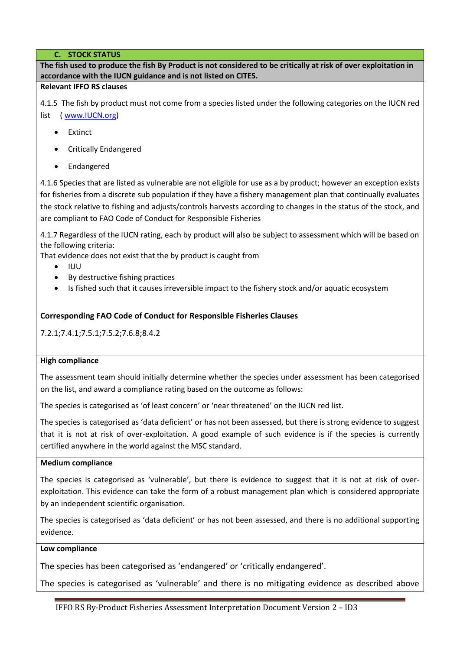# **C. STOCK STATUS**

**The fish used to produce the fish By Product is not considered to be critically at risk of over exploitation in accordance with the IUCN guidance and is not listed on CITES.** 

#### **Relevant IFFO RS clauses**

4.1.5 The fish by product must not come from a species listed under the following categories on the IUCN red list [\( www.IUCN.org\)](http://www.iucn.org/)

- Extinct
- Critically Endangered
- Endangered

4.1.6 Species that are listed as vulnerable are not eligible for use as a by product; however an exception exists for fisheries from a discrete sub population if they have a fishery management plan that continually evaluates the stock relative to fishing and adjusts/controls harvests according to changes in the status of the stock, and are compliant to FAO Code of Conduct for Responsible Fisheries

4.1.7 Regardless of the IUCN rating, each by product will also be subject to assessment which will be based on the following criteria:

That evidence does not exist that the by product is caught from

- IUU
- By destructive fishing practices
- Is fished such that it causes irreversible impact to the fishery stock and/or aquatic ecosystem

# **Corresponding FAO Code of Conduct for Responsible Fisheries Clauses**

7.2.1;7.4.1;7.5.1;7.5.2;7.6.8;8.4.2

# **High compliance**

The assessment team should initially determine whether the species under assessment has been categorised on the list, and award a compliance rating based on the outcome as follows:

The species is categorised as 'of least concern' or 'near threatened' on the IUCN red list.

The species is categorised as 'data deficient' or has not been assessed, but there is strong evidence to suggest that it is not at risk of over-exploitation. A good example of such evidence is if the species is currently certified anywhere in the world against the MSC standard.

# **Medium compliance**

The species is categorised as 'vulnerable', but there is evidence to suggest that it is not at risk of overexploitation. This evidence can take the form of a robust management plan which is considered appropriate by an independent scientific organisation.

The species is categorised as 'data deficient' or has not been assessed, and there is no additional supporting evidence.

# **Low compliance**

The species has been categorised as 'endangered' or 'critically endangered'.

The species is categorised as 'vulnerable' and there is no mitigating evidence as described above